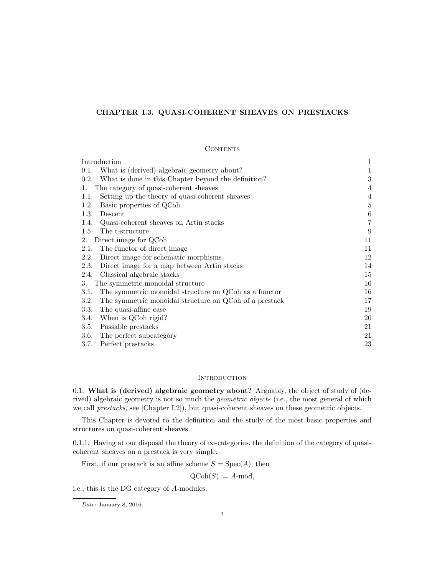# CHAPTER I.3. QUASI-COHERENT SHEAVES ON PRESTACKS

#### **CONTENTS**

| Introduction                                                   | 1       |
|----------------------------------------------------------------|---------|
| What is (derived) algebraic geometry about?<br>0.1.            | 1       |
| What is done in this Chapter beyond the definition?<br>0.2.    | 3       |
| The category of quasi-coherent sheaves<br>1.                   | 4       |
| Setting up the theory of quasi-coherent sheaves<br>1.1.        | 4       |
| Basic properties of QCoh<br>1.2.                               | $\bf 5$ |
| 1.3.<br>Descent                                                | $\,6$   |
| Quasi-coherent sheaves on Artin stacks<br>1.4.                 | 7       |
| The t-structure<br>1.5.                                        | 9       |
| Direct image for QCoh<br>2.                                    | 11      |
| The functor of direct image<br>2.1.                            | 11      |
| Direct image for schematic morphisms<br>2.2.                   | 12      |
| Direct image for a map between Artin stacks<br>2.3.            | 14      |
| Classical algebraic stacks<br>2.4.                             | 15      |
| The symmetric monoidal structure<br>3.                         | 16      |
| The symmetric monoidal structure on QCoh as a functor<br>3.1.  | 16      |
| The symmetric monoidal structure on QCoh of a prestack<br>3.2. | 17      |
| The quasi-affine case<br><b>3.3.</b>                           | 19      |
| When is QCoh rigid?<br>3.4.                                    | 20      |
| Passable prestacks<br>3.5.                                     | 21      |
| The perfect subcategory<br><b>3.6.</b>                         | 21      |
| 3.7.<br>Perfect prestacks                                      | 23      |

# **INTRODUCTION**

0.1. What is (derived) algebraic geometry about? Arguably, the object of study of (derived) algebraic geometry is not so much the *geometric objects* (i.e., the most general of which we call prestacks, see [Chapter I.2]), but quasi-coherent sheaves on these geometric objects.

This Chapter is devoted to the definition and the study of the most basic properties and structures on quasi-coherent sheaves.

0.1.1. Having at our disposal the theory of  $\infty$ -categories, the definition of the category of quasicoherent sheaves on a prestack is very simple.

First, if our prestack is an affine scheme  $S = Spec(A)$ , then

 $Q\text{Coh}(S) := A\text{-mod},$ 

i.e., this is the DG category of A-modules.

Date: January 8, 2016.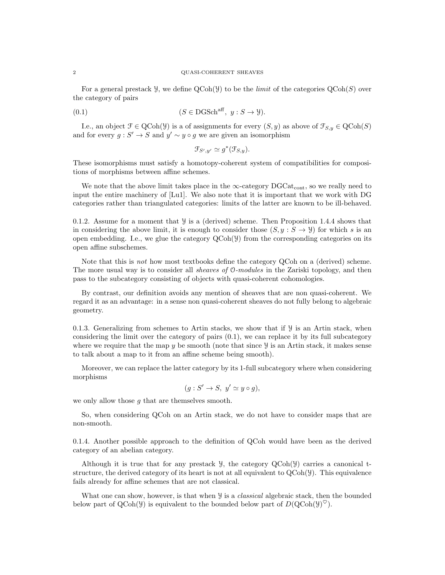#### 2 QUASI-COHERENT SHEAVES

For a general prestack  $\mathcal{Y}$ , we define  $QCoh(\mathcal{Y})$  to be the *limit* of the categories  $QCoh(S)$  over the category of pairs

$$
(0.1) \t\t (S \in \text{DGSch}^{\text{aff}}, y : S \to Y).
$$

I.e., an object  $\mathcal{F} \in \text{QCoh}(\mathcal{Y})$  is a of assignments for every  $(S, y)$  as above of  $\mathcal{F}_{S, y} \in \text{QCoh}(S)$ and for every  $g: S' \to S$  and  $y' \sim y \circ g$  we are given an isomorphism

$$
\mathfrak{F}_{S',y'} \simeq g^*(\mathfrak{F}_{S,y}).
$$

These isomorphisms must satisfy a homotopy-coherent system of compatibilities for compositions of morphisms between affine schemes.

We note that the above limit takes place in the  $\infty$ -category DGCat<sub>cont</sub>, so we really need to input the entire machinery of [Lu1]. We also note that it is important that we work with DG categories rather than triangulated categories: limits of the latter are known to be ill-behaved.

0.1.2. Assume for a moment that  $\mathcal{Y}$  is a (derived) scheme. Then Proposition 1.4.4 shows that in considering the above limit, it is enough to consider those  $(S, y : S \rightarrow Y)$  for which s is an open embedding. I.e., we glue the category  $QCoh(\mathcal{Y})$  from the corresponding categories on its open affine subschemes.

Note that this is not how most textbooks define the category QCoh on a (derived) scheme. The more usual way is to consider all *sheaves of* 0-modules in the Zariski topology, and then pass to the subcategory consisting of objects with quasi-coherent cohomologies.

By contrast, our definition avoids any mention of sheaves that are non quasi-coherent. We regard it as an advantage: in a sense non quasi-coherent sheaves do not fully belong to algebraic geometry.

0.1.3. Generalizing from schemes to Artin stacks, we show that if  $\mathcal{Y}$  is an Artin stack, when considering the limit over the category of pairs  $(0.1)$ , we can replace it by its full subcategory where we require that the map  $y$  be smooth (note that since  $y$  is an Artin stack, it makes sense to talk about a map to it from an affine scheme being smooth).

Moreover, we can replace the latter category by its 1-full subcategory where when considering morphisms

$$
(g: S' \to S, y' \simeq y \circ g),
$$

we only allow those  $q$  that are themselves smooth.

So, when considering QCoh on an Artin stack, we do not have to consider maps that are non-smooth.

0.1.4. Another possible approach to the definition of QCoh would have been as the derived category of an abelian category.

Although it is true that for any prestack  $\mathcal{Y}$ , the category  $\text{QCoh}(\mathcal{Y})$  carries a canonical tstructure, the derived category of its heart is not at all equivalent to  $QCoh(\mathcal{Y})$ . This equivalence fails already for affine schemes that are not classical.

What one can show, however, is that when  $\mathcal{Y}$  is a *classical* algebraic stack, then the bounded below part of QCoh( $\mathcal{Y}$ ) is equivalent to the bounded below part of  $D(\text{QCoh}(\mathcal{Y})^{\heartsuit})$ .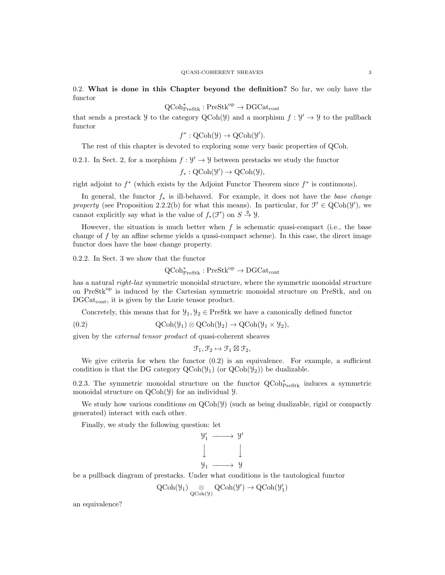0.2. What is done in this Chapter beyond the definition? So far, we only have the functor

 $\mathrm{QCoh}^*_{\mathrm{PreStk}} : \mathrm{PreStk}^\mathrm{op} \to \mathrm{DGCat}_\mathrm{cont}$ 

that sends a prestack  $\mathcal Y$  to the category  $QCoh(\mathcal Y)$  and a morphism  $f: \mathcal Y' \to \mathcal Y$  to the pullback functor

 $f^* : \text{QCoh}(\mathcal{Y}) \to \text{QCoh}(\mathcal{Y}').$ 

The rest of this chapter is devoted to exploring some very basic properties of QCoh.

0.2.1. In Sect. 2, for a morphism  $f: \mathcal{Y}' \to \mathcal{Y}$  between prestacks we study the functor

 $f_*: \text{QCoh}(\mathcal{Y}') \to \text{QCoh}(\mathcal{Y}),$ 

right adjoint to  $f^*$  (which exists by the Adjoint Functor Theorem since  $f^*$  is continuous).

In general, the functor  $f_*$  is ill-behaved. For example, it does not have the base change property (see Proposition 2.2.2(b) for what this means). In particular, for  $\mathcal{F}' \in \text{QCoh}(\mathcal{Y}')$ , we cannot explicitly say what is the value of  $f_*(\mathcal{F}')$  on  $S \stackrel{y}{\to} \mathcal{Y}$ .

However, the situation is much better when  $f$  is schematic quasi-compact (i.e., the base change of  $f$  by an affine scheme yields a quasi-compact scheme). In this case, the direct image functor does have the base change property.

0.2.2. In Sect. 3 we show that the functor

 $\mathrm{QCoh}^*_{\mathrm{PreStk}} : \mathrm{PreStk}^{\mathrm{op}} \to \mathrm{DGCat}_\mathrm{cont}$ 

has a natural *right-lax* symmetric monoidal structure, where the symmetric monoidal structure on PreStk<sup>op</sup> is induced by the Cartesian symmetric monoidal structure on PreStk, and on DGCat<sub>cont</sub>, it is given by the Lurie tensor product.

Concretely, this means that for  $\mathcal{Y}_1, \mathcal{Y}_2 \in \text{PreStk}$  we have a canonically defined functor

(0.2) 
$$
\mathrm{QCoh}(\mathcal{Y}_1) \otimes \mathrm{QCoh}(\mathcal{Y}_2) \to \mathrm{QCoh}(\mathcal{Y}_1 \times \mathcal{Y}_2),
$$

given by the external tensor product of quasi-coherent sheaves

$$
\mathcal{F}_1, \mathcal{F}_2 \mapsto \mathcal{F}_1 \boxtimes \mathcal{F}_2,
$$

We give criteria for when the functor  $(0.2)$  is an equivalence. For example, a sufficient condition is that the DG category  $\text{QCoh}(\mathcal{Y}_1)$  (or  $\text{QCoh}(\mathcal{Y}_2)$ ) be dualizable.

0.2.3. The symmetric monoidal structure on the functor  $Q\text{Coh}^*_{\text{PreStk}}$  induces a symmetric monoidal structure on  $QCoh(\mathcal{Y})$  for an individual  $\mathcal{Y}$ .

We study how various conditions on  $QCoh(\mathcal{Y})$  (such as being dualizable, rigid or compactly generated) interact with each other.

Finally, we study the following question: let

$$
\begin{array}{ccc}\n\mathbf{y}'_1 & \longrightarrow & \mathbf{y}' \\
\downarrow & & \downarrow \\
\mathbf{y}_1 & \longrightarrow & \mathbf{y}\n\end{array}
$$

be a pullback diagram of prestacks. Under what conditions is the tautological functor

$$
\operatorname{QCoh}(\mathcal{Y}_1) \underset{\operatorname{QCoh}(\mathcal{Y})}{\otimes} \operatorname{QCoh}(\mathcal{Y}') \to \operatorname{QCoh}(\mathcal{Y}'_1)
$$

an equivalence?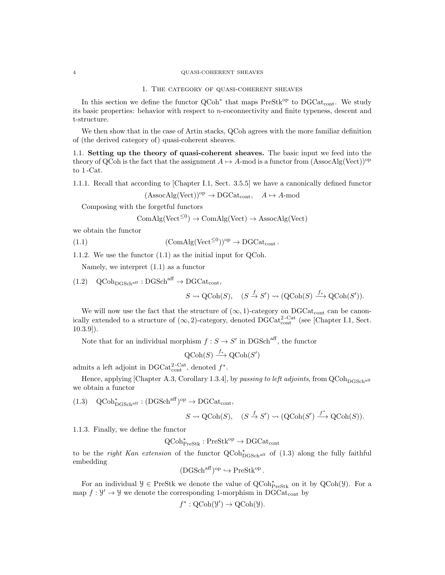#### 4 QUASI-COHERENT SHEAVES

## 1. The category of quasi-coherent sheaves

In this section we define the functor  $QCoh^*$  that maps  $PreStk^{op}$  to  $DGCat_{cont}$ . We study its basic properties: behavior with respect to n-coconnectivity and finite typeness, descent and t-structure.

We then show that in the case of Artin stacks, QCoh agrees with the more familiar definition of (the derived category of) quasi-coherent sheaves.

1.1. Setting up the theory of quasi-coherent sheaves. The basic input we feed into the theory of QCoh is the fact that the assignment  $A \mapsto A$ -mod is a functor from (AssocAlg(Vect))<sup>op</sup> to 1 -Cat.

1.1.1. Recall that according to [Chapter I.1, Sect. 3.5.5] we have a canonically defined functor

$$
(\text{AssocAlg}(\text{Vect}))^{op} \to \text{DGCat}_{cont}, \quad A \mapsto A\text{-mod}
$$

Composing with the forgetful functors

$$
ComAlg(Vect^{\leq 0}) \to ComAlg(Vect) \to AssocAlg(Vect)
$$

we obtain the functor

(1.1) 
$$
(\text{ComAlg}(\text{Vect}^{\leq 0}))^{\text{op}} \to \text{DGCat}_{\text{cont}}.
$$

1.1.2. We use the functor (1.1) as the initial input for QCoh.

Namely, we interpret (1.1) as a functor

 $(1.2) \quad \text{QCoh}_{\text{DCSch}^{\text{aff}}} : \text{DGSch}^{\text{aff}} \to \text{DGCat}_{\text{cont}},$ 

 $S \rightsquigarrow \text{QCoh}(S), \quad (S \stackrel{f}{\rightarrow} S') \rightsquigarrow (\text{QCoh}(S) \stackrel{f_*}{\longrightarrow} \text{QCoh}(S')).$ 

We will now use the fact that the structure of  $(\infty, 1)$ -category on DGCat<sub>cont</sub> can be canonically extended to a structure of  $(\infty, 2)$ -category, denoted DGCat<sup>2-Cat</sup> (see [Chapter I.1, Sect. 10.3.9]).

Note that for an individual morphism  $f : S \to S'$  in DGSch<sup>aff</sup>, the functor

$$
\text{QCoh}(S) \xrightarrow{f_*} \text{QCoh}(S')
$$

admits a left adjoint in DGCat<sup>2-Cat</sup>, denoted  $f^*$ .

Hence, applying [Chapter A.3, Corollary 1.3.4], by passing to left adjoints, from  $\rm QCoh_{DGSch}^{2}$ we obtain a functor

 $(1.3)$  QCoh $_{\text{DGSch}^{\text{aff}}}^* : (\text{DGSch}^{\text{aff}})^{\text{op}} \to \text{DGCat}_{\text{cont}}^*,$ 

$$
S \rightsquigarrow \text{QCoh}(S), \quad (S \xrightarrow{f} S') \rightsquigarrow (\text{QCoh}(S') \xrightarrow{f^*} \text{QCoh}(S)).
$$

1.1.3. Finally, we define the functor

$$
\operatorname{QCoh}\nolimits^*_\operatorname{PreStk}\nolimits : \operatorname{PreStk}\nolimits^{\operatorname{op}\nolimits} \to \operatorname{DGCat}\nolimits_{\operatorname{cont}\nolimits}
$$

to be the *right Kan extension* of the functor  $QCoh_{DGSch<sup>aff</sup>}^*$  of (1.3) along the fully faithful embedding

$$
(\mathrm{DGSch}^{\mathrm{aff}})^{\mathrm{op}} \hookrightarrow \mathrm{PreStk}^{\mathrm{op}}.
$$

For an individual  $\mathcal{Y} \in \text{PreStk}$  we denote the value of  $\text{QCoh}_{\text{PreStk}}^*$  on it by  $\text{QCoh}(\mathcal{Y})$ . For a map  $f: \mathcal{Y}' \to \mathcal{Y}$  we denote the corresponding 1-morphism in DGCat<sub>cont</sub> by

$$
f^*: \mathrm{QCoh}(\mathcal{Y}') \to \mathrm{QCoh}(\mathcal{Y}).
$$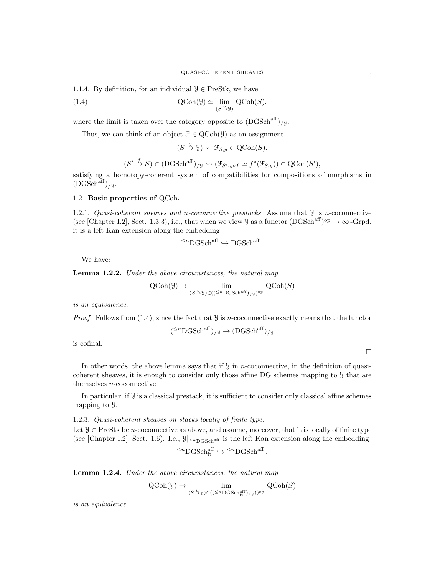1.1.4. By definition, for an individual  $\mathcal{Y} \in \text{PreStk}$ , we have

(1.4) 
$$
\operatorname{QCoh}(\mathcal{Y}) \simeq \lim_{(S \xrightarrow{y})} \operatorname{QCoh}(S),
$$

where the limit is taken over the category opposite to  $(DGSch<sup>aff</sup>)_{/y}$ .

Thus, we can think of an object  $\mathcal{F} \in \mathrm{QCoh}(\mathcal{Y})$  as an assignment

$$
(S \stackrel{y}{\to} \mathcal{Y}) \rightsquigarrow \mathcal{F}_{S,y} \in \text{QCoh}(S),
$$

$$
(S' \xrightarrow{f} S) \in (DGSch^{aff})_{/\mathcal{Y}} \rightsquigarrow (\mathcal{F}_{S',y \circ f} \simeq f^*(\mathcal{F}_{S,y})) \in QCoh(S'),
$$

satisfying a homotopy-coherent system of compatibilities for compositions of morphisms in  $(DGSch<sup>aff</sup>)_{/y}.$ 

## 1.2. Basic properties of QCoh.

1.2.1. Quasi-coherent sheaves and n-coconnective prestacks. Assume that  $\mathcal{Y}$  is n-coconnective (see [Chapter I.2], Sect. 1.3.3), i.e., that when we view  $\mathcal Y$  as a functor  $(DGSch^{aff})^{\text{op}} \to \infty$ -Grpd, it is a left Kan extension along the embedding

$$
\leq^n \text{DGSch}^{\text{aff}} \hookrightarrow \text{DGSch}^{\text{aff}}.
$$

We have:

Lemma 1.2.2. Under the above circumstances, the natural map

$$
\operatorname{QCoh}(\mathcal{Y}) \to \lim_{(S \xrightarrow{\mu} \mathcal{Y}) \in ((\leq^n \operatorname{DGSch}^{\operatorname{aff}})_{/\mathcal{Y}})^{\operatorname{op}}} \operatorname{QCoh}(S)
$$

is an equivalence.

*Proof.* Follows from  $(1.4)$ , since the fact that  $\mathcal{Y}$  is *n*-coconnective exactly means that the functor

$$
(^{\leq n}\text{DGSch}^{\text{aff}})_{/\mathcal{Y}} \to (\text{DGSch}^{\text{aff}})_{/\mathcal{Y}}
$$

is cofinal.

In other words, the above lemma says that if  $\mathcal{Y}$  in n-coconnective, in the definition of quasicoherent sheaves, it is enough to consider only those affine DG schemes mapping to Y that are themselves n-coconnective.

In particular, if  $\mathcal Y$  is a classical prestack, it is sufficient to consider only classical affine schemes mapping to Y.

## 1.2.3. Quasi-coherent sheaves on stacks locally of finite type.

Let  $\mathcal{Y} \in \text{PreStk}$  be *n*-coconnective as above, and assume, moreover, that it is locally of finite type (see [Chapter I.2], Sect. 1.6). I.e.,  $\mathcal{Y}|_{\le n_\text{DGSch}^{\text{aff}}}$  is the left Kan extension along the embedding

$$
^{\leq n}\mathrm{DGSch}^{\mathrm{aff}}_{\mathrm{ft}}\hookrightarrow{}^{\leq n}\mathrm{DGSch}^{\mathrm{aff}}
$$

.

Lemma 1.2.4. Under the above circumstances, the natural map

$$
\operatorname{QCoh}(\mathcal{Y}) \to \lim_{(S \xrightarrow{u} \mathcal{Y}) \in ((\leq^n \operatorname{DGSch}^{\operatorname{aff}}_{\operatorname{ft}})_{/\mathcal{Y}}))^\mathrm{op}} \operatorname{QCoh}(S)
$$

is an equivalence.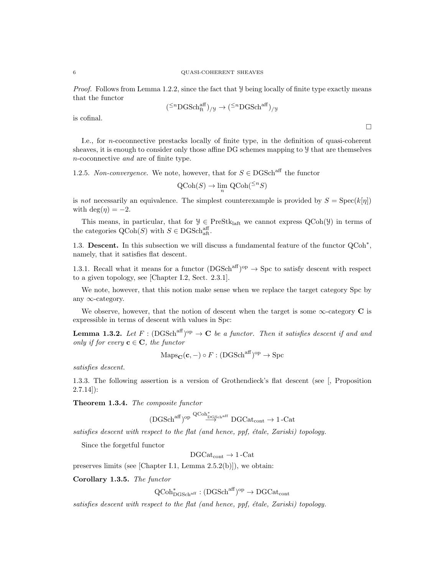Proof. Follows from Lemma 1.2.2, since the fact that  $\mathcal Y$  being locally of finite type exactly means that the functor

$$
(^{\leq n}\mathrm{DGSch}^{\mathrm{aff}}_{\mathrm{ft}})_{/\mathcal{Y}}\rightarrow(^{\leq n}\mathrm{DGSch}^{\mathrm{aff}})_{/\mathcal{Y}}
$$

is cofinal.

I.e., for n-coconnective prestacks locally of finite type, in the definition of quasi-coherent sheaves, it is enough to consider only those affine DG schemes mapping to Y that are themselves n-coconnective and are of finite type.

1.2.5. Non-convergence. We note, however, that for  $S \in \text{DGSch}^{\text{aff}}$  the functor

$$
\text{QCoh}(S) \to \lim_{n} \text{QCoh}({}^{\leq n}S)
$$

is not necessarily an equivalence. The simplest counterexample is provided by  $S = \text{Spec}(k[\eta])$ with deg( $\eta$ ) = -2.

This means, in particular, that for  $\mathcal{Y} \in \text{PreStk}_{\text{laff}}$  we cannot express  $\text{QCoh}(\mathcal{Y})$  in terms of the categories  $\text{QCoh}(S)$  with  $S \in \text{DGSch}^{\text{aff}}_{\text{aft}}$ .

1.3. Descent. In this subsection we will discuss a fundamental feature of the functor  $Q\text{Coh}^*$ , namely, that it satisfies flat descent.

1.3.1. Recall what it means for a functor  $(DGSch<sup>aff</sup>)<sup>op</sup> \rightarrow Spc$  to satisfy descent with respect to a given topology, see [Chapter I.2, Sect. 2.3.1].

We note, however, that this notion make sense when we replace the target category Spc by any ∞-category.

We observe, however, that the notion of descent when the target is some  $\infty$ -category C is expressible in terms of descent with values in Spc:

**Lemma 1.3.2.** Let  $F : (DGSch<sup>aff</sup>)<sup>op</sup> \to \mathbf{C}$  be a functor. Then it satisfies descent if and and only if for every  $\mathbf{c} \in \mathbf{C}$ , the functor

$$
Maps_{\mathbf{C}}(\mathbf{c}, -) \circ F : (DGSch^{aff})^{op} \to \text{Spc}
$$

satisfies descent.

1.3.3. The following assertion is a version of Grothendieck's flat descent (see [, Proposition  $(2.7.14)$ :

Theorem 1.3.4. The composite functor

$$
(\rm DGSch^{aff})^{op} \overset{\rm QCoh^*_{DGSch^{aff}}}{\longrightarrow} \rm DGCat_{cont} \rightarrow 1\text{-}Cat
$$

satisfies descent with respect to the flat (and hence, ppf, étale, Zariski) topology.

Since the forgetful functor

 $DGCat_{cont} \rightarrow 1$ -Cat

preserves limits (see [Chapter I.1, Lemma 2.5.2(b)]), we obtain:

Corollary 1.3.5. The functor

 $\operatorname{QCoh}^*_{\mathrm{DGSch}^{\operatorname{aff}}} : (\mathrm{DGSch}^{\operatorname{aff}})^{\mathrm{op}} \to \mathrm{DGCat}_{\mathrm{cont}}$ 

satisfies descent with respect to the flat (and hence, ppf,  $\acute{e}t$  tale, Zariski) topology.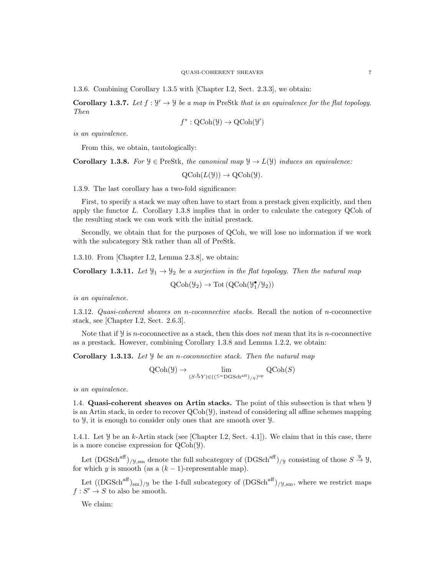1.3.6. Combining Corollary 1.3.5 with [Chapter I.2, Sect. 2.3.3], we obtain:

**Corollary 1.3.7.** Let  $f : \mathcal{Y}' \to \mathcal{Y}$  be a map in PreStk that is an equivalence for the flat topology. Then

$$
f^* : \mathrm{QCoh}(\mathcal{Y}) \to \mathrm{QCoh}(\mathcal{Y}')
$$

is an equivalence.

From this, we obtain, tautologically:

**Corollary 1.3.8.** For  $\mathcal{Y} \in \text{PreStk}$ , the canonical map  $\mathcal{Y} \to L(\mathcal{Y})$  induces an equivalence:

 $OCoh(L(Y)) \rightarrow OCoh(Y)$ .

1.3.9. The last corollary has a two-fold significance:

First, to specify a stack we may often have to start from a prestack given explicitly, and then apply the functor  $L$ . Corollary 1.3.8 implies that in order to calculate the category QCoh of the resulting stack we can work with the initial prestack.

Secondly, we obtain that for the purposes of QCoh, we will lose no information if we work with the subcategory Stk rather than all of PreStk.

1.3.10. From [Chapter I.2, Lemma 2.3.8], we obtain:

**Corollary 1.3.11.** Let  $\mathcal{Y}_1 \to \mathcal{Y}_2$  be a surjection in the flat topology. Then the natural map

$$
\mathrm{QCoh}(\mathcal{Y}_2) \to \mathrm{Tot}\left(\mathrm{QCoh}(\mathcal{Y}_1^\bullet/\mathcal{Y}_2)\right)
$$

is an equivalence.

1.3.12. Quasi-coherent sheaves on n-coconnective stacks. Recall the notion of n-coconnective stack, see [Chapter I.2, Sect. 2.6.3].

Note that if  $\mathcal{Y}$  is n-coconnective as a stack, then this does not mean that its is n-coconnective as a prestack. However, combining Corollary 1.3.8 and Lemma 1.2.2, we obtain:

**Corollary 1.3.13.** Let  $\mathcal{Y}$  be an *n*-coconnective stack. Then the natural map

$$
\operatorname{QCoh}(\mathcal{Y}) \to \lim_{(S \xrightarrow{\mu} Y) \in ((\leq^n \operatorname{DGSch}^{\operatorname{aff}})_{/\mathcal{Y}})^{\operatorname{op}}} \operatorname{QCoh}(S)
$$

is an equivalence.

1.4. Quasi-coherent sheaves on Artin stacks. The point of this subsection is that when Y is an Artin stack, in order to recover  $\text{QCoh}(\mathcal{Y})$ , instead of considering all affine schemes mapping to Y, it is enough to consider only ones that are smooth over Y.

1.4.1. Let  $\mathcal Y$  be an k-Artin stack (see [Chapter I.2, Sect. 4.1]). We claim that in this case, there is a more concise expression for QCoh(Y).

Let  $(DGSch<sup>aff</sup>)_{/\mathcal{Y},sm}$  denote the full subcategory of  $(DGSch<sup>aff</sup>)_{/\mathcal{Y}}$  consisting of those  $S \stackrel{y}{\rightarrow} \mathcal{Y},$ for which y is smooth (as a  $(k-1)$ -representable map).

Let  $((DGSch<sup>aff</sup>)_{sm})_{/y}$  be the 1-full subcategory of  $(DGSch<sup>aff</sup>)_{/y,sm}$ , where we restrict maps  $f: S' \to S$  to also be smooth.

We claim: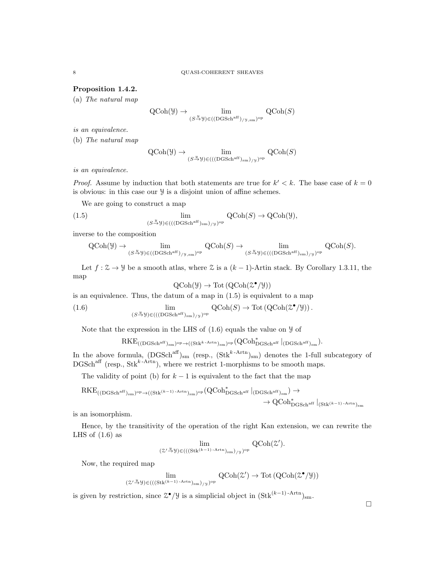# Proposition 1.4.2.

(a) The natural map

$$
\operatorname{QCoh}(\mathcal{Y}) \to \lim_{(S \xrightarrow{y} \mathcal{Y}) \in ((\operatorname{DGSch}^{\operatorname{aff}})_{/\mathcal{Y}, \operatorname{sm}})^{\operatorname{op}}} \operatorname{QCoh}(S)
$$

is an equivalence.

(b) The natural map

$$
\operatorname{QCoh}(\mathcal{Y}) \to \lim_{(S \xrightarrow{u} \mathcal{Y}) \in (((\operatorname{DGSch}^{\operatorname{aff}})_{\operatorname{sm}})_{/\mathcal{Y}})^{\operatorname{op}}} \operatorname{QCoh}(S)
$$

is an equivalence.

*Proof.* Assume by induction that both statements are true for  $k' < k$ . The base case of  $k = 0$ is obvious: in this case our Y is a disjoint union of affine schemes.

We are going to construct a map

(1.5) 
$$
\lim_{(S \to \mathcal{Y}) \in (((\text{DGSch}^{\text{aff}})_{\text{sm}})/\mathcal{Y})^{\text{op}}} \text{QCoh}(S) \to \text{QCoh}(\mathcal{Y}),
$$

inverse to the composition

$$
\operatorname{QCoh}(\mathcal Y) \to \lim_{(S \xrightarrow{y} \mathcal Y) \in ((\operatorname{DGSch}^{\operatorname{aff}})_{/\mathcal Y,\operatorname{sm}})^{\operatorname{op}}} \operatorname{QCoh}(S) \to \lim_{(S \xrightarrow{y} \mathcal Y) \in (((\operatorname{DGSch}^{\operatorname{aff}})_{\operatorname{sm}})_{/\mathcal Y})^{\operatorname{op}}} \operatorname{QCoh}(S).
$$

Let  $f: \mathcal{Z} \to \mathcal{Y}$  be a smooth atlas, where  $\mathcal{Z}$  is a  $(k-1)$ -Artin stack. By Corollary 1.3.11, the map

$$
\mathrm{QCoh}(\mathcal{Y}) \to \mathrm{Tot}\,(\mathrm{QCoh}(\mathcal{Z}^{\bullet}/\mathcal{Y}))
$$

is an equivalence. Thus, the datum of a map in (1.5) is equivalent to a map

(1.6) 
$$
\lim_{(S \xrightarrow{y} y) \in (((\text{DGSch}^{\text{aff}})_{\text{sm}})_{/y})^{\text{op}}} \text{QCoh}(S) \to \text{Tot}(\text{QCoh}(\mathcal{Z}^{\bullet}/\mathcal{Y})) .
$$

Note that the expression in the LHS of  $(1.6)$  equals the value on  $\mathcal Y$  of

$$
RKE_{((DGSch^{aff})_{sm})^{op}\rightarrow ((Stk^{k-Artn})_{sm})^{op}}(QCoh_{DGSch^{aff}}^{*}|_{(DGSch^{aff})_{sm}}).
$$

In the above formula,  $(DGSch^{aff})_{sm}$  (resp.,  $(Stk^{k-Artn})_{sm}$ ) denotes the 1-full subcategory of  $DGSch<sup>aff</sup>$  (resp.,  $Stk<sup>k-Artn</sup>$ ), where we restrict 1-morphisms to be smooth maps.

The validity of point (b) for  $k-1$  is equivalent to the fact that the map

$$
\mathrm{RKE}_{((\mathrm{DGSch}^{\mathrm{aff}})_{\mathrm{sm}})^{\mathrm{op}} \rightarrow ((\mathrm{Stk}^{(k-1)\text{-Artn}})_{\mathrm{sm}})^{\mathrm{op}}}\big(\mathrm{QCoh}^*_{\mathrm{DGSch}^{\mathrm{aff}}}\big|_{(\mathrm{DGSch}^{\mathrm{aff}})_{\mathrm{sm}}}\big) \rightarrow \\ \rightarrow \mathrm{QCoh}^*_{\mathrm{DGSch}^{\mathrm{aff}}}\big|_{(\mathrm{Stk}^{(k-1)\text{-Artn}})_{\mathrm{sm}}}
$$

is an isomorphism.

Hence, by the transitivity of the operation of the right Kan extension, we can rewrite the LHS of  $(1.6)$  as

$$
\lim_{(\mathcal{Z}'\stackrel{y}{\rightarrow} \mathcal{Y}) \in (((\mathrm{Stk}^{(k-1)\operatorname{-Artn})_{\mathrm{sm}})_{/\mathcal{Y}})^{\mathrm{op}}} \mathrm{QCoh}(\mathcal{Z}').
$$

Now, the required map

$$
\lim_{(\mathcal{Z}' \stackrel{y}{\rightarrow} \mathcal{Y}) \in (((\mathrm{Stk}^{(k-1)\operatorname{-Artn})_{sm})_{/\mathcal{Y}})^{\mathrm{op}}} \mathrm{QCoh}(\mathcal{Z}') \rightarrow \mathrm{Tot}\left(\mathrm{QCoh}(\mathcal{Z}^{\bullet}/\mathcal{Y})\right)
$$

is given by restriction, since  $\mathcal{Z}^{\bullet}/\mathcal{Y}$  is a simplicial object in  $(\text{Stk}^{(k-1)-\text{Artn}})_{\text{sm}}$ .

$$
8 \\
$$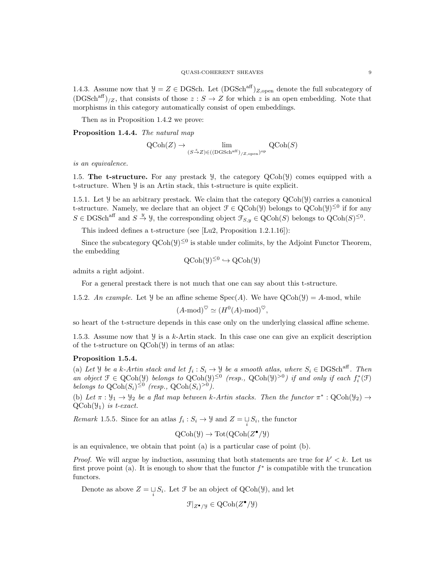1.4.3. Assume now that  $\mathcal{Y} = Z \in \text{DGSch.}$  Let  $(\text{DGSch}^{\text{aff}})_{Z,\text{open}}$  denote the full subcategory of  $(DGSch<sup>aff</sup>)_{Z}$ , that consists of those  $z : S \to Z$  for which z is an open embedding. Note that morphisms in this category automatically consist of open embeddings.

Then as in Proposition 1.4.2 we prove:

Proposition 1.4.4. The natural map

$$
\operatorname{QCoh}(Z) \to \lim_{(S \xrightarrow{\tilde{\sim}} Z) \in ((\operatorname{DGSch}^{\operatorname{aff}})_{/Z, \operatorname{open}})^{\operatorname{op}}} \operatorname{QCoh}(S)
$$

is an equivalence.

1.5. The t-structure. For any prestack  $\mathcal{Y}$ , the category  $\mathcal{Q}(\text{Coh}(\mathcal{Y}))$  comes equipped with a t-structure. When Y is an Artin stack, this t-structure is quite explicit.

1.5.1. Let  $\mathcal Y$  be an arbitrary prestack. We claim that the category  $QCoh(\mathcal Y)$  carries a canonical t-structure. Namely, we declare that an object  $\mathcal{F} \in \text{QCoh}(\mathcal{Y})$  belongs to  $\text{QCoh}(\mathcal{Y})^{\leq 0}$  if for any  $S \in \text{DGSch}^{\text{aff}}$  and  $S \stackrel{y}{\to} Y$ , the corresponding object  $\mathcal{F}_{S,y} \in \text{QCoh}(S)$  belongs to  $\text{QCoh}(S)^{\leq 0}$ .

This indeed defines a t-structure (see [Lu2, Proposition 1.2.1.16]):

Since the subcategory  $Q\text{Coh}(\mathcal{Y})^{\leq 0}$  is stable under colimits, by the Adjoint Functor Theorem, the embedding

$$
QCoh(\mathcal{Y})^{\leq 0} \hookrightarrow QCoh(\mathcal{Y})
$$

admits a right adjoint.

For a general prestack there is not much that one can say about this t-structure.

1.5.2. An example. Let  $\mathcal Y$  be an affine scheme  $Spec(A)$ . We have  $QCoh(\mathcal Y) = A$ -mod, while

$$
(A \text{-mod})^{\heartsuit} \simeq (H^0(A) \text{-mod})^{\heartsuit},
$$

so heart of the t-structure depends in this case only on the underlying classical affine scheme.

1.5.3. Assume now that  $\frac{y}{x}$  is a k-Artin stack. In this case one can give an explicit description of the t-structure on QCoh(Y) in terms of an atlas:

# Proposition 1.5.4.

(a) Let *Y* be a k-Artin stack and let  $f_i : S_i \to \mathcal{Y}$  be a smooth atlas, where  $S_i \in \text{DGSch}^{\text{aff}}$ . Then an object  $\mathcal{F} \in \text{QCoh}(\mathcal{Y})$  belongs to  $\text{QCoh}(\mathcal{Y})^{\leq 0}$  (resp.,  $\text{QCoh}(\mathcal{Y})^{>0}$ ) if and only if each  $f_i^*(\mathcal{F})$ belongs to  $\text{QCoh}(S_i)^{\leq 0}$  (resp.,  $\text{QCoh}(S_i)^{>0}$ ).

(b) Let  $\pi : \mathcal{Y}_1 \to \mathcal{Y}_2$  be a flat map between k-Artin stacks. Then the functor  $\pi^* : \text{QCoh}(\mathcal{Y}_2) \to$  $QCoh(\mathcal{Y}_1)$  is t-exact.

*Remark* 1.5.5. Since for an atlas  $f_i : S_i \to \mathcal{Y}$  and  $Z = \bigcup_i S_i$ , the functor

$$
\mathrm{QCoh}(\mathcal{Y}) \to \mathrm{Tot}(\mathrm{QCoh}(Z^{\bullet}/\mathcal{Y}))
$$

is an equivalence, we obtain that point (a) is a particular case of point (b).

*Proof.* We will argue by induction, assuming that both statements are true for  $k' < k$ . Let us first prove point (a). It is enough to show that the functor  $f^*$  is compatible with the truncation functors.

Denote as above  $Z = \bigsqcup_i S_i$ . Let  $\mathcal F$  be an object of QCoh( $\mathcal Y$ ), and let

$$
\mathcal{F}|_{Z^{\bullet}/\mathcal{Y}} \in \text{QCoh}(Z^{\bullet}/\mathcal{Y})
$$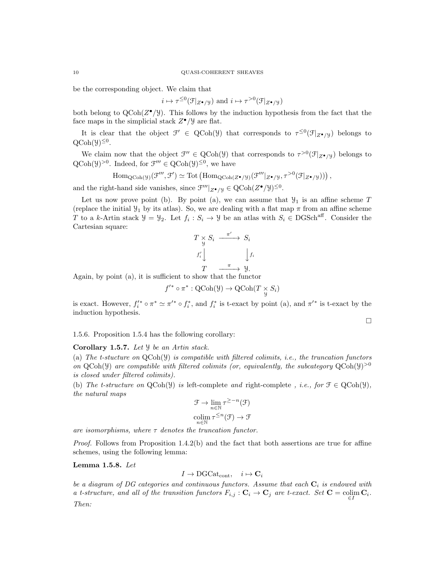be the corresponding object. We claim that

$$
i \mapsto \tau^{\leq 0}(\mathcal{F}|_{Z^{\bullet}/\mathcal{Y}})
$$
 and  $i \mapsto \tau^{>0}(\mathcal{F}|_{Z^{\bullet}/\mathcal{Y}})$ 

both belong to  $QCoh(Z^{\bullet}/Y)$ . This follows by the induction hypothesis from the fact that the face maps in the simplicial stack  $Z^{\bullet}/\mathcal{Y}$  are flat.

It is clear that the object  $\mathcal{F}' \in \text{QCoh}(\mathcal{Y})$  that corresponds to  $\tau^{\leq 0}(\mathcal{F}|_{Z^{\bullet}/\mathcal{Y}})$  belongs to  $\text{QCoh}(\mathcal{Y})^{\leq 0}$ .

We claim now that the object  $\mathcal{F}'' \in \text{QCoh}(\mathcal{Y})$  that corresponds to  $\tau^{>0}(\mathcal{F}|_{Z^{\bullet}/\mathcal{Y}})$  belongs to  $QCoh(\mathcal{Y})^{>0}$ . Indeed, for  $\mathcal{F}''' \in QCoh(\mathcal{Y})^{\leq 0}$ , we have

$$
\mathrm{Hom}_{\mathrm{QCoh}(\mathcal{Y})}(\mathcal{F}''', \mathcal{F}') \simeq \mathrm{Tot}\left(\mathrm{Hom}_{\mathrm{QCoh}(Z^{\bullet}/\mathcal{Y})}(\mathcal{F}''|_{Z^{\bullet}/\mathcal{Y}}, \tau^{>0}(\mathcal{F}|_{Z^{\bullet}/\mathcal{Y}}))\right),
$$

and the right-hand side vanishes, since  $\mathcal{F}'''|_{Z^{\bullet}/\mathcal{Y}} \in \mathrm{QCoh}(Z^{\bullet}/\mathcal{Y})^{\leq 0}$ .

Let us now prove point (b). By point (a), we can assume that  $\mathcal{Y}_1$  is an affine scheme T (replace the initial  $\mathcal{Y}_1$  by its atlas). So, we are dealing with a flat map  $\pi$  from an affine scheme T to a k-Artin stack  $\mathcal{Y} = \mathcal{Y}_2$ . Let  $f_i : S_i \to \mathcal{Y}$  be an atlas with  $S_i \in \text{DGSch}^{\text{aff}}$ . Consider the Cartesian square:

$$
T \underset{y}{\times} S_i \xrightarrow{\pi'} S_i
$$
  

$$
f'_i \downarrow \qquad \qquad f_i
$$
  

$$
T \xrightarrow{\pi} y.
$$

Again, by point (a), it is sufficient to show that the functor

$$
f'^* \circ \pi^* : \mathrm{QCoh}(\mathcal{Y}) \to \mathrm{QCoh}(T \underset{\mathcal{Y}}{\times} S_i)
$$

is exact. However,  $f_i^{\prime*} \circ \pi^* \simeq \pi^{\prime*} \circ f_i^*$ , and  $f_i^*$  is t-exact by point (a), and  $\pi^{\prime*}$  is t-exact by the induction hypothesis.

1.5.6. Proposition 1.5.4 has the following corollary:

Corollary 1.5.7. Let *y* be an Artin stack.

(a) The t-stucture on  $QCoh(Y)$  is compatible with filtered colimits, i.e., the truncation functors on QCoh(y) are compatible with filtered colimits (or, equivalently, the subcategory  $QCoh(y)^{>0}$ is closed under filtered colimits).

(b) The t-structure on  $QCoh(\mathcal{Y})$  is left-complete and right-complete, i.e., for  $\mathcal{F} \in QCoh(\mathcal{Y})$ , the natural maps

$$
\mathcal{F} \to \lim_{n \in \mathbb{N}} \tau^{\geq -n}(\mathcal{F})
$$
  
colim  $\tau^{\leq n}(\mathcal{F}) \to \mathcal{F}$   
 $n \in \mathbb{N}$ 

are isomorphisms, where  $\tau$  denotes the truncation functor.

*Proof.* Follows from Proposition  $1.4.2(b)$  and the fact that both assertions are true for affine schemes, using the following lemma:

Lemma 1.5.8. Let

$$
I \to \mathrm{DGCat}_{\mathrm{cont}}, \quad i \mapsto \mathbf{C}_i
$$

be a diagram of DG categories and continuous functors. Assume that each  $C_i$  is endowed with a t-structure, and all of the transition functors  $F_{i,j} : \mathbf{C}_i \to \mathbf{C}_j$  are t-exact. Set  $\mathbf{C} = \operatornamewithlimits{colim}_{\in I} \mathbf{C}_i$ . Then: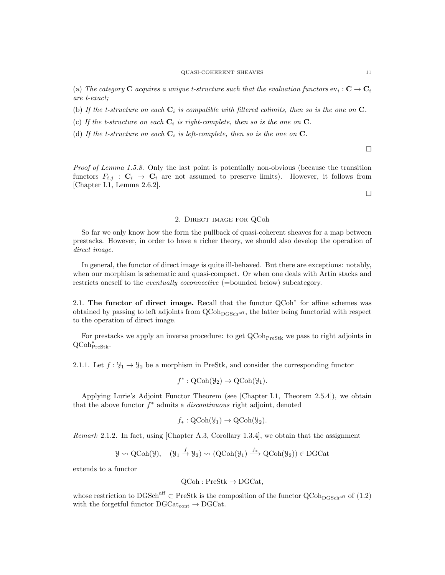(a) The category  $C$  acquires a unique t-structure such that the evaluation functors  $ev_i: C \to C_i$ are t-exact;

(b) If the t-structure on each  $C_i$  is compatible with filtered colimits, then so is the one on  $C$ .

- (c) If the t-structure on each  $C_i$  is right-complete, then so is the one on  $C$ .
- (d) If the t-structure on each  $C_i$  is left-complete, then so is the one on  $C$ .

 $\Box$ 

Proof of Lemma 1.5.8. Only the last point is potentially non-obvious (because the transition functors  $F_{i,j}$ :  $C_i \rightarrow C_i$  are not assumed to preserve limits). However, it follows from [Chapter I.1, Lemma 2.6.2].

 $\Box$ 

# 2. Direct image for QCoh

So far we only know how the form the pullback of quasi-coherent sheaves for a map between prestacks. However, in order to have a richer theory, we should also develop the operation of direct image.

In general, the functor of direct image is quite ill-behaved. But there are exceptions: notably, when our morphism is schematic and quasi-compact. Or when one deals with Artin stacks and restricts oneself to the *eventually coconnective* (=bounded below) subcategory.

2.1. The functor of direct image. Recall that the functor QCoh<sup>\*</sup> for affine schemes was obtained by passing to left adjoints from  $QCoh<sub>DGSch<sup>aff</sup></sub>$ , the latter being functorial with respect to the operation of direct image.

For prestacks we apply an inverse procedure: to get  $QCoh_{Presstk}$  we pass to right adjoints in QCoh<sup>∗</sup> PreStk.

2.1.1. Let  $f: \mathcal{Y}_1 \to \mathcal{Y}_2$  be a morphism in PreStk, and consider the corresponding functor

$$
f^*: \mathrm{QCoh}(\mathcal{Y}_2) \to \mathrm{QCoh}(\mathcal{Y}_1).
$$

Applying Lurie's Adjoint Functor Theorem (see [Chapter I.1, Theorem 2.5.4]), we obtain that the above functor  $f^*$  admits a *discontinuous* right adjoint, denoted

$$
f_*: \text{QCoh}(\mathcal{Y}_1) \to \text{QCoh}(\mathcal{Y}_2).
$$

Remark 2.1.2. In fact, using [Chapter A.3, Corollary 1.3.4], we obtain that the assignment

$$
\mathcal{Y} \rightsquigarrow \text{QCoh}(\mathcal{Y}), \quad (\mathcal{Y}_1 \stackrel{f}{\rightarrow} \mathcal{Y}_2) \rightsquigarrow (\text{QCoh}(\mathcal{Y}_1) \stackrel{f_*}{\longrightarrow} \text{QCoh}(\mathcal{Y}_2)) \in \text{DGCat}
$$

extends to a functor

$$
QCoh : PreStk \to DGCat,
$$

whose restriction to DGSch<sup>aff</sup>  $\subset$  PreStk is the composition of the functor  $\operatorname{QCoh}_{\mathrm{DGSch}^{\mathrm{aff}}}$  of (1.2) with the forgetful functor  $DGCat_{cont} \rightarrow DGCat$ .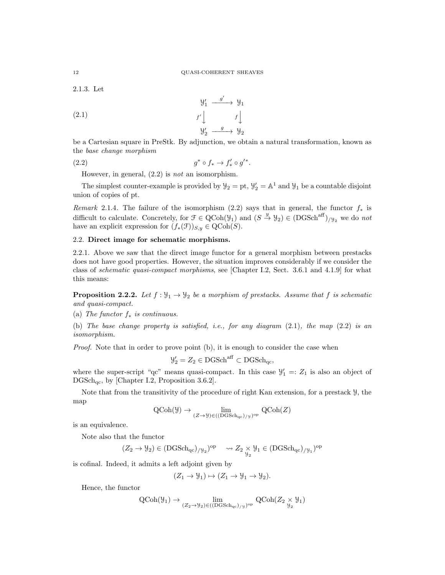2.1.3. Let

(2.1) 
$$
\begin{array}{ccc}\n & \mathcal{Y}'_1 & \xrightarrow{g'} & \mathcal{Y}_1 \\
 & f' \downarrow & & f \downarrow \\
 & \mathcal{Y}'_2 & \xrightarrow{g} & \mathcal{Y}_2\n\end{array}
$$

be a Cartesian square in PreStk. By adjunction, we obtain a natural transformation, known as the base change morphism

$$
(2.2) \t\t\t g^* \circ f_* \to f'_* \circ g'^*.
$$

However, in general,  $(2.2)$  is *not* an isomorphism.

The simplest counter-example is provided by  $\mathcal{Y}_2 = \mathrm{pt}$ ,  $\mathcal{Y}'_2 = \mathbb{A}^1$  and  $\mathcal{Y}_1$  be a countable disjoint union of copies of pt.

Remark 2.1.4. The failure of the isomorphism (2.2) says that in general, the functor  $f_*$  is difficult to calculate. Concretely, for  $\mathcal{F} \in \text{QCoh}(\mathcal{Y}_1)$  and  $(S \stackrel{y}{\to} \mathcal{Y}_2) \in (\text{DGSch}^{\text{aff}})_{/\mathcal{Y}_2}$  we do not have an explicit expression for  $(f_*(\mathfrak{F}))_{S,y} \in \text{QCoh}(S)$ .

# 2.2. Direct image for schematic morphisms.

2.2.1. Above we saw that the direct image functor for a general morphism between prestacks does not have good properties. However, the situation improves considerably if we consider the class of schematic quasi-compact morphisms, see [Chapter I.2, Sect. 3.6.1 and 4.1.9] for what this means:

**Proposition 2.2.2.** Let  $f : \mathcal{Y}_1 \to \mathcal{Y}_2$  be a morphism of prestacks. Assume that f is schematic and quasi-compact.

(a) The functor  $f_*$  is continuous.

(b) The base change property is satisfied, i.e., for any diagram (2.1), the map (2.2) is an isomorphism.

Proof. Note that in order to prove point (b), it is enough to consider the case when

$$
\mathcal{Y}'_2 = Z_2 \in \mathrm{DGSch}^{\mathrm{aff}} \subset \mathrm{DGSch}_{\mathrm{qc}},
$$

where the super-script "qc" means quasi-compact. In this case  $\mathcal{Y}'_1 =: Z_1$  is also an object of  $DGSch<sub>ac</sub>$ , by [Chapter I.2, Proposition 3.6.2].

Note that from the transitivity of the procedure of right Kan extension, for a prestack Y, the map

$$
\operatorname{QCoh}(\mathcal{Y}) \to \lim_{(Z \to \mathcal{Y}) \in ((\operatorname{DGSch}_{\mathrm{qc}})_{/\mathcal{Y}})^{\mathrm{op}}} \operatorname{QCoh}(Z)
$$

is an equivalence.

Note also that the functor

$$
(Z_2 \rightarrow \mathcal{Y}_2) \in ({\rm DGSch}_{\rm qc})_{/\mathcal{Y}_2})^{\rm op} \quad \leadsto Z_2 \underset{\mathcal{Y}_2}{\times} \mathcal{Y}_1 \in ({\rm DGSch}_{\rm qc})_{/\mathcal{Y}_1})^{\rm op}
$$

is cofinal. Indeed, it admits a left adjoint given by

$$
(Z_1 \to \mathcal{Y}_1) \mapsto (Z_1 \to \mathcal{Y}_1 \to \mathcal{Y}_2).
$$

Hence, the functor

$$
\operatorname{QCoh}(\mathcal{Y}_1) \to \lim_{(Z_2 \to \mathcal{Y}_2) \in ((\operatorname{DGSch}_{\operatorname{qc}})_{/\mathcal{Y}})^{\operatorname{op}}} \operatorname{QCoh}(Z_2 \underset{\mathcal{Y}_2}{\times} \mathcal{Y}_1)
$$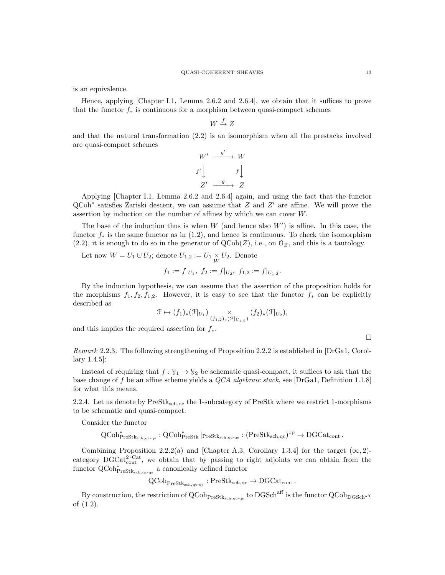is an equivalence.

Hence, applying [Chapter I.1, Lemma 2.6.2 and 2.6.4], we obtain that it suffices to prove that the functor  $f_*$  is continuous for a morphism between quasi-compact schemes

$$
W \stackrel{f}{\to} Z
$$

and that the natural transformation (2.2) is an isomorphism when all the prestacks involved are quasi-compact schemes

$$
W' \xrightarrow{g'} W
$$
  

$$
f' \downarrow \qquad f \downarrow
$$
  

$$
Z' \xrightarrow{g} Z
$$

Applying [Chapter I.1, Lemma 2.6.2 and 2.6.4] again, and using the fact that the functor  $QCoh^*$  satisfies Zariski descent, we can assume that Z and Z' are affine. We will prove the assertion by induction on the number of affines by which we can cover W.

The base of the induction thus is when  $W$  (and hence also  $W'$ ) is affine. In this case, the functor  $f_*$  is the same functor as in (1.2), and hence is continuous. To check the isomorphism  $(2.2)$ , it is enough to do so in the generator of  $QCoh(Z)$ , i.e., on  $\mathcal{O}_Z$ , and this is a tautology.

Let now  $W = U_1 \cup U_2$ ; denote  $U_{1,2} := U_1 \times U_2$ . Denote

$$
f_1 := f|_{U_1}, f_2 := f|_{U_2}, f_{1,2} := f|_{U_{1,2}}.
$$

By the induction hypothesis, we can assume that the assertion of the proposition holds for the morphisms  $f_1, f_2, f_{1,2}$ . However, it is easy to see that the functor  $f_*$  can be explicitly described as

$$
\mathcal{F} \mapsto (f_1)_*(\mathcal{F}|_{U_1}) \underset{(f_1,2)_*(\mathcal{F}|_{U_1,2})}{\times} (f_2)_*(\mathcal{F}|_{U_2}),
$$

and this implies the required assertion for  $f_*$ .

$$
\qquad \qquad \Box
$$

Remark 2.2.3. The following strengthening of Proposition 2.2.2 is established in [DrGa1, Corollary 1.4.5]:

Instead of requiring that  $f: \mathcal{Y}_1 \to \mathcal{Y}_2$  be schematic quasi-compact, it suffices to ask that the base change of f be an affine scheme yields a QCA algebraic stack, see [DrGa1, Definition 1.1.8] for what this means.

2.2.4. Let us denote by  $PreStk<sub>sch,qc</sub>$  the 1-subcategory of PreStk where we restrict 1-morphisms to be schematic and quasi-compact.

Consider the functor

$$
\operatorname{QCoh}^*_{\operatorname{PreStk}_{\operatorname{sch}, \operatorname{qc-qs}}}:\operatorname{QCoh}^*_{\operatorname{PreStk}}|_{\operatorname{PreStk}_{\operatorname{sch}, \operatorname{qc-qs}}}:(\operatorname{PreStk}_{\operatorname{sch}, \operatorname{qc}})^{\operatorname{op}}\to \operatorname{DGCat}_{\operatorname{cont}}.
$$

Combining Proposition 2.2.2(a) and [Chapter A.3, Corollary 1.3.4] for the target  $(\infty, 2)$ category  $DGCat_{cont}^{2-Cat}$ , we obtain that by passing to right adjoints we can obtain from the functor  $\operatorname{QCoh}_{\operatorname{PreStk}_{\operatorname{sch},\operatorname{qc-qs}}}^*$  a canonically defined functor

 $\mathrm{QCoh}_{\mathrm{PreStk}_{\mathrm{sch},\mathrm{qc}\text{-}qs}} : \mathrm{PreStk}_{\mathrm{sch},\mathrm{qc}} \to \mathrm{DGCat}_{\mathrm{cont}}$ .

By construction, the restriction of  $\rm QCoh_{PreStk_{sch,qc-qs}}$  to  $\rm DGSch^{aff}$  is the functor  $\rm QCoh_{DGSch^{aff}}$ of (1.2).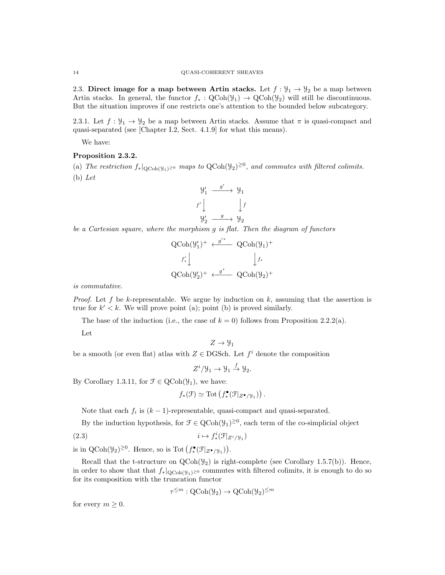2.3. Direct image for a map between Artin stacks. Let  $f: \mathcal{Y}_1 \to \mathcal{Y}_2$  be a map between Artin stacks. In general, the functor  $f_* : \text{QCoh}(\mathcal{Y}_1) \to \text{QCoh}(\mathcal{Y}_2)$  will still be discontinuous. But the situation improves if one restricts one's attention to the bounded below subcategory.

2.3.1. Let  $f: \mathcal{Y}_1 \to \mathcal{Y}_2$  be a map between Artin stacks. Assume that  $\pi$  is quasi-compact and quasi-separated (see [Chapter I.2, Sect. 4.1.9] for what this means).

We have:

# Proposition 2.3.2.

(a) The restriction  $f_*|_{\text{QCoh}(\mathcal{Y}_1) \geq 0}$  maps to  $\text{QCoh}(\mathcal{Y}_2) \geq 0$ , and commutes with filtered colimits. (b) Let



be a Cartesian square, where the morphism g is flat. Then the diagram of functors

$$
\begin{array}{ccc}\n\text{QCoh}(\mathcal{Y}_{1}')^{+} & \xleftarrow{g'^{*}} & \text{QCoh}(\mathcal{Y}_{1})^{+} \\
\downarrow f'_{*} & & \downarrow f_{*} \\
\text{QCoh}(\mathcal{Y}_{2}')^{+} & \xleftarrow{g^{*}} & \text{QCoh}(\mathcal{Y}_{2})^{+}\n\end{array}
$$

is commutative.

*Proof.* Let f be k-representable. We argue by induction on  $k$ , assuming that the assertion is true for  $k' < k$ . We will prove point (a); point (b) is proved similarly.

The base of the induction (i.e., the case of  $k = 0$ ) follows from Proposition 2.2.2(a).

Let

$$
Z\to \mathcal{Y}_1
$$

be a smooth (or even flat) atlas with  $Z \in \text{DGSch}$ . Let  $f^i$  denote the composition

$$
Z^i/\mathcal{Y}_1 \to \mathcal{Y}_1 \stackrel{f}{\to} \mathcal{Y}_2.
$$

By Corollary 1.3.11, for  $\mathcal{F} \in \text{QCoh}(\mathcal{Y}_1)$ , we have:

$$
f_*(\mathfrak{F}) \simeq \mathrm{Tot}\left(f_*^{\bullet}(\mathfrak{F}|_{Z^{\bullet}/\mathfrak{Y}_1})\right).
$$

Note that each  $f_i$  is  $(k-1)$ -representable, quasi-compact and quasi-separated.

By the induction hypothesis, for  $\mathcal{F} \in \text{QCoh}(\mathcal{Y}_1)^{\geq 0}$ , each term of the co-simplicial object

$$
(2.3) \t i \mapsto f^i_*(\mathcal{F}|_{Z^i/\mathcal{Y}_1})
$$

is in  $\text{QCoh}(\mathcal{Y}_2)^{\geq 0}$ . Hence, so is Tot  $(f^{\bullet}_{*}(\mathcal{F}|_{Z^{\bullet}/\mathcal{Y}_1}))$ .

Recall that the t-structure on  $QCoh(\mathcal{Y}_2)$  is right-complete (see Corollary 1.5.7(b)). Hence, in order to show that that  $f_*|_{QCoh(Y_1)^{\geq 0}}$  commutes with filtered colimits, it is enough to do so for its composition with the truncation functor

$$
\tau^{\leq m}: \text{QCoh}(\mathcal{Y}_2) \to \text{QCoh}(\mathcal{Y}_2)^{\leq m}
$$

for every  $m \geq 0$ .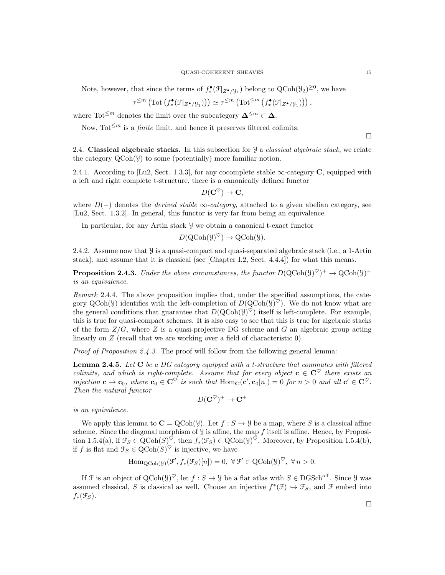Note, however, that since the terms of  $f^{\bullet}_{*}(\mathcal{F}|_{Z^{\bullet}/\mathcal{Y}_1})$  belong to  $\text{QCoh}(\mathcal{Y}_2)^{\geq 0}$ , we have

$$
\tau^{\leq m}\left(\text{Tot}\left(f^{\bullet}_{*}(\mathcal{F}|_{Z^{\bullet}/\mathcal{Y}_{1}})\right)\right) \simeq \tau^{\leq m}\left(\text{Tot}^{\leq m}\left(f^{\bullet}_{*}(\mathcal{F}|_{Z^{\bullet}/\mathcal{Y}_{1}})\right)\right),
$$

where Tot<sup> $\leq m$ </sup> denotes the limit over the subcategory  $\mathbf{\Delta}^{\leq m} \subset \mathbf{\Delta}$ .

Now, Tot<sup> $\leq m$ </sup> is a *finite* limit, and hence it preserves filtered colimits.

2.4. Classical algebraic stacks. In this subsection for  $\mathcal{Y}$  a *classical algebraic stack*, we relate the category QCoh(Y) to some (potentially) more familiar notion.

2.4.1. According to [Lu2, Sect. 1.3.3], for any cocomplete stable  $\infty$ -category C, equipped with a left and right complete t-structure, there is a canonically defined functor

$$
D(\mathbf{C}^{\heartsuit}) \to \mathbf{C},
$$

where  $D(-)$  denotes the *derived stable*  $\infty$ -category, attached to a given abelian category, see [Lu2, Sect. 1.3.2]. In general, this functor is very far from being an equivalence.

In particular, for any Artin stack Y we obtain a canonical t-exact functor

$$
D(\mathrm{QCoh}(\mathcal{Y})^{\heartsuit}) \to \mathrm{QCoh}(\mathcal{Y}).
$$

2.4.2. Assume now that  $\frac{y}{y}$  is a quasi-compact and quasi-separated algebraic stack (i.e., a 1-Artin stack), and assume that it is classical (see [Chapter I.2, Sect. 4.4.4]) for what this means.

**Proposition 2.4.3.** Under the above circumstances, the functor  $D(QCoh(Y)^{\heartsuit})^+ \to QCoh(Y)^+$ is an equivalence.

Remark 2.4.4. The above proposition implies that, under the specified assumptions, the category  $QCoh(\mathcal{Y})$  identifies with the left-completion of  $D(QCoh(\mathcal{Y})^{\heartsuit})$ . We do not know what are the general conditions that guarantee that  $D(QCoh(y)^{\heartsuit})$  itself is left-complete. For example, this is true for quasi-compact schemes. It is also easy to see that this is true for algebraic stacks of the form  $Z/G$ , where Z is a quasi-projective DG scheme and G an algebraic group acting linearly on Z (recall that we are working over a field of characteristic 0).

Proof of Proposition 2.4.3. The proof will follow from the following general lemma:

**Lemma 2.4.5.** Let  $C$  be a DG category equipped with a t-structure that commutes with filtered colimits, and which is right-complete. Assume that for every object  $c \in C^{\heartsuit}$  there exists an injection  $\mathbf{c} \to \mathbf{c}_0$ , where  $\mathbf{c}_0 \in \mathbf{C}^{\heartsuit}$  is such that  $\text{Hom}_{\mathbf{C}}(\mathbf{c}', \mathbf{c}_0[n]) = 0$  for  $n > 0$  and all  $\mathbf{c}' \in \mathbf{C}^{\heartsuit}$ . Then the natural functor

$$
D(\mathbf{C}^\heartsuit)^+\to\mathbf{C}^+
$$

is an equivalence.

We apply this lemma to  $\mathbf{C} = \text{QCoh}(\mathcal{Y})$ . Let  $f : S \to \mathcal{Y}$  be a map, where S is a classical affine scheme. Since the diagonal morphism of  $\mathcal Y$  is affine, the map f itself is affine. Hence, by Proposition 1.5.4(a), if  $\mathcal{F}_S \in \text{QCoh}(S)^\heartsuit$ , then  $f_*(\mathcal{F}_S) \in \text{QCoh}(\mathcal{Y})^\heartsuit$ . Moreover, by Proposition 1.5.4(b), if f is flat and  $\mathcal{F}_S \in \mathrm{QCoh}(S)^\heartsuit$  is injective, we have

$$
\operatorname{Hom}_{\operatorname{QCoh}(\mathcal{Y})}(\mathcal{F}', f_*(\mathcal{F}_S)[n]) = 0, \ \forall \, \mathcal{F}' \in \operatorname{QCoh}(\mathcal{Y})^{\heartsuit}, \ \forall \, n > 0.
$$

If F is an object of QCoh( $\mathcal{Y}^{\heartsuit}$ , let  $f : S \to \mathcal{Y}$  be a flat atlas with  $S \in \mathrm{DGSch}^{\mathrm{aff}}$ . Since  $\mathcal{Y}$  was assumed classical, S is classical as well. Choose an injective  $f^*(\mathcal{F}) \hookrightarrow \mathcal{F}_S$ , and F embed into  $f_*(\mathfrak{F}_S).$ 

 $\Box$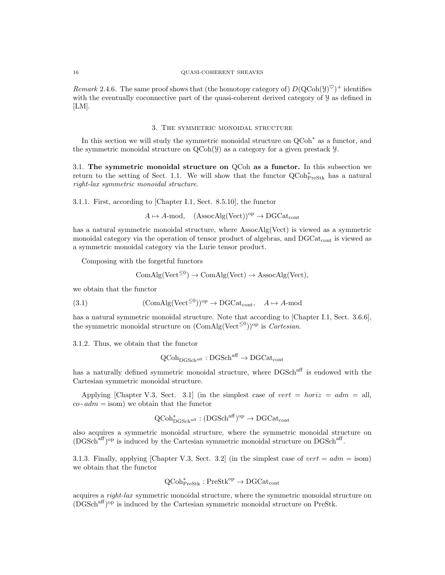#### 16 QUASI-COHERENT SHEAVES

Remark 2.4.6. The same proof shows that (the homotopy category of)  $D(QCoh(Y)^{\heartsuit})^+$  identifies with the eventually coconnective part of the quasi-coherent derived category of Y as defined in  $[LM].$ 

#### 3. The symmetric monoidal structure

In this section we will study the symmetric monoidal structure on  $Q\text{Coh}^*$  as a functor, and the symmetric monoidal structure on  $QCoh(\mathcal{Y})$  as a category for a given prestack  $\mathcal{Y}$ .

3.1. The symmetric monoidal structure on QCoh as a functor. In this subsection we return to the setting of Sect. 1.1. We will show that the functor  $\operatorname{QCoh}_{\operatorname{PreStk}}^*$  has a natural right-lax symmetric monoidal structure.

3.1.1. First, according to [Chapter I.1, Sect. 8.5.10], the functor

 $A \mapsto A\text{-mod}, \quad (\text{AssocAlg}(\text{Vect}))^{op} \to \text{DGCat}_{\text{cont}}$ 

has a natural symmetric monoidal structure, where AssocAlg(Vect) is viewed as a symmetric monoidal category via the operation of tensor product of algebras, and DGCat<sub>cont</sub> is viewed as a symmetric monoidal category via the Lurie tensor product.

Composing with the forgetful functors

$$
ComAlg(Vect^{\leq 0}) \to ComAlg(Vect) \to AssocAlg(Vect),
$$

we obtain that the functor

(3.1) 
$$
(\text{ComAlg}(\text{Vect}^{\leq 0}))^{\text{op}} \to \text{DGCat}_{\text{cont}}, \quad A \mapsto A\text{-mod}
$$

has a natural symmetric monoidal structure. Note that according to [Chapter I.1, Sect. 3.6.6], the symmetric monoidal structure on  $(\text{ComAlg}(\text{Vect}^{\leq 0}))^{\text{op}}$  is *Cartesian*.

3.1.2. Thus, we obtain that the functor

$$
\operatorname{QCoh}_{\operatorname{DGSch}^{\operatorname{aff}}} : \operatorname{DGSch}^{\operatorname{aff}} \to \operatorname{DGCat}_{\operatorname{cont}}
$$

has a naturally defined symmetric monoidal structure, where  $DGSch<sup>aff</sup>$  is endowed with the Cartesian symmetric monoidal structure.

Applying [Chapter V.3, Sect. 3.1] (in the simplest case of vert = horiz =  $adm = all$ ,  $co$ -  $adm =$  isom) we obtain that the functor

$$
\operatorname{QCoh}_{\operatorname{DGSch}^{\operatorname{aff}}}^* : (\operatorname{DGSch}^{\operatorname{aff}})^{\operatorname{op}} \to \operatorname{DGCat}_{\operatorname{cont}}
$$

also acquires a symmetric monoidal structure, where the symmetric monoidal structure on (DGSch<sup>aff</sup>)<sup>op</sup> is induced by the Cartesian symmetric monoidal structure on DGSch<sup>aff</sup>.

3.1.3. Finally, applying [Chapter V.3, Sect. 3.2] (in the simplest case of  $vert = adm =$  isom) we obtain that the functor

# $\mathrm{QCoh}^*_{\mathrm{PreStk}} : \mathrm{PreStk}^\mathrm{op} \to \mathrm{DGCat}_\mathrm{cont}$

acquires a right-lax symmetric monoidal structure, where the symmetric monoidal structure on (DGSchaff) op is induced by the Cartesian symmetric monoidal structure on PreStk.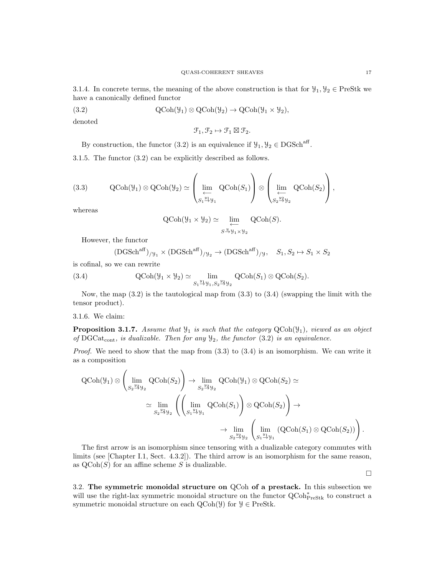3.1.4. In concrete terms, the meaning of the above construction is that for  $\mathcal{Y}_1, \mathcal{Y}_2 \in \text{PreStk we}$ have a canonically defined functor

(3.2) 
$$
\operatorname{QCoh}(\mathcal{Y}_1) \otimes \operatorname{QCoh}(\mathcal{Y}_2) \to \operatorname{QCoh}(\mathcal{Y}_1 \times \mathcal{Y}_2),
$$

denoted

$$
\mathcal{F}_1, \mathcal{F}_2 \mapsto \mathcal{F}_1 \boxtimes \mathcal{F}_2.
$$

By construction, the functor (3.2) is an equivalence if  $\mathcal{Y}_1, \mathcal{Y}_2 \in \text{DGSch}^{\text{aff}}$ .

3.1.5. The functor (3.2) can be explicitly described as follows.

(3.3) 
$$
\text{QCoh}(\mathcal{Y}_1) \otimes \text{QCoh}(\mathcal{Y}_2) \simeq \left(\lim_{\substack{\longleftarrow \\ S_1 \stackrel{y_1}{\rightarrow} \mathcal{Y}_1}} \text{QCoh}(S_1)\right) \otimes \left(\lim_{\substack{\longleftarrow \\ S_2 \stackrel{y_2}{\rightarrow} \mathcal{Y}_2}} \text{QCoh}(S_2)\right),
$$

whereas

$$
\operatorname{QCoh}(\mathcal{Y}_1 \times \mathcal{Y}_2) \simeq \varprojlim_{S \xrightarrow{y} \mathcal{Y}_1 \times \mathcal{Y}_2} \operatorname{QCoh}(S).
$$

However, the functor

$$
(\text{DGSch}^{\text{aff}})_{/\mathcal{Y}_1} \times (\text{DGSch}^{\text{aff}})_{/\mathcal{Y}_2} \to (\text{DGSch}^{\text{aff}})_{/\mathcal{Y}}, \quad S_1, S_2 \mapsto S_1 \times S_2
$$

is cofinal, so we can rewrite

(3.4) 
$$
\text{QCoh}(\mathcal{Y}_1 \times \mathcal{Y}_2) \simeq \lim_{S_1 \to \mathcal{Y}_1, S_2 \to \mathcal{Y}_2} \text{QCoh}(S_1) \otimes \text{QCoh}(S_2).
$$

Now, the map  $(3.2)$  is the tautological map from  $(3.3)$  to  $(3.4)$  (swapping the limit with the tensor product).

## 3.1.6. We claim:

**Proposition 3.1.7.** Assume that  $\mathcal{Y}_1$  is such that the category  $QCoh(\mathcal{Y}_1)$ , viewed as an object of DGCat<sub>cont</sub>, is dualizable. Then for any  $\mathcal{Y}_2$ , the functor (3.2) is an equivalence.

*Proof.* We need to show that the map from  $(3.3)$  to  $(3.4)$  is an isomorphism. We can write it as a composition

$$
\begin{split} \mathrm{QCoh}(\mathcal{Y}_{1}) \otimes & \left( \lim_{S_{2} \to \mathcal{Y}_{2}} \mathrm{QCoh}(S_{2}) \right) \to \lim_{S_{2} \to \mathcal{Y}_{2}} \mathrm{QCoh}(\mathcal{Y}_{1}) \otimes \mathrm{QCoh}(S_{2}) \simeq \\ &\simeq \lim_{S_{2} \to \mathcal{Y}_{2}} \left( \left( \lim_{S_{1} \to \mathcal{Y}_{1}} \mathrm{QCoh}(S_{1}) \right) \otimes \mathrm{QCoh}(S_{2}) \right) \to \\ &\to \lim_{S_{2} \to \mathcal{Y}_{2}} \left( \lim_{S_{1} \to \mathcal{Y}_{1}} \mathrm{QCoh}(S_{1}) \right) \otimes \mathrm{QCoh}(S_{2}) \right). \end{split}
$$

The first arrow is an isomorphism since tensoring with a dualizable category commutes with limits (see [Chapter I.1, Sect. 4.3.2]). The third arrow is an isomorphism for the same reason, as  $\text{QCoh}(S)$  for an affine scheme S is dualizable.

 $\Box$ 

3.2. The symmetric monoidal structure on QCoh of a prestack. In this subsection we will use the right-lax symmetric monoidal structure on the functor  $\operatorname{QCoh}^*_{\operatorname{PreStk}}$  to construct a symmetric monoidal structure on each  $\text{QCoh}(\mathcal{Y})$  for  $\mathcal{Y} \in \text{PreStk.}$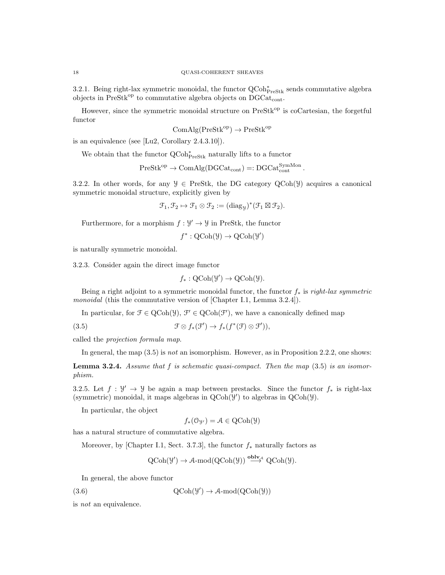3.2.1. Being right-lax symmetric monoidal, the functor  $\operatorname{QCoh}^*_{\operatorname{PreStk}}$  sends commutative algebra objects in PreStk<sup>op</sup> to commutative algebra objects on  $DGCat_{cont}$ .

However, since the symmetric monoidal structure on PreStk<sup>op</sup> is coCartesian, the forgetful functor

$$
ComAlg(PreStk^{op}) \to PreStk^{op}
$$

is an equivalence (see [Lu2, Corollary 2.4.3.10]).

We obtain that the functor  $\operatorname{QCoh}^*_{\operatorname{PreStk}}$  naturally lifts to a functor

$$
\mathrm{PreStk}^{\mathrm{op}} \to \mathrm{ComAlg}(\mathrm{DGCat}_\mathrm{cont}) =: \mathrm{DGCat}_\mathrm{cont}^{\mathrm{SymMon}}\,.
$$

3.2.2. In other words, for any  $\mathcal{Y} \in \text{PreStk}$ , the DG category QCoh( $\mathcal{Y}$ ) acquires a canonical symmetric monoidal structure, explicitly given by

$$
\mathcal{F}_1, \mathcal{F}_2 \mapsto \mathcal{F}_1 \otimes \mathcal{F}_2 := (\mathrm{diag}_y)^*(\mathcal{F}_1 \boxtimes \mathcal{F}_2).
$$

Furthermore, for a morphism  $f: \mathcal{Y}' \to \mathcal{Y}$  in PreStk, the functor

$$
f^* : \mathrm{QCoh}(\mathcal{Y}) \to \mathrm{QCoh}(\mathcal{Y}')
$$

is naturally symmetric monoidal.

3.2.3. Consider again the direct image functor

$$
f_*: \mathrm{QCoh}(\mathcal{Y}') \to \mathrm{QCoh}(\mathcal{Y}).
$$

Being a right adjoint to a symmetric monoidal functor, the functor  $f_*$  is right-lax symmetric monoidal (this the commutative version of [Chapter I.1, Lemma 3.2.4]).

In particular, for  $\mathcal{F} \in \text{QCoh}(\mathcal{Y})$ ,  $\mathcal{F}' \in \text{QCoh}(\mathcal{F}')$ , we have a canonically defined map

(3.5)  $\mathfrak{F} \otimes f_*(\mathfrak{F}') \to f_*(f^*(\mathfrak{F}) \otimes \mathfrak{F}')),$ 

called the projection formula map.

In general, the map  $(3.5)$  is not an isomorphism. However, as in Proposition 2.2.2, one shows:

**Lemma 3.2.4.** Assume that  $f$  is schematic quasi-compact. Then the map  $(3.5)$  is an isomorphism.

3.2.5. Let  $f: \mathcal{Y}' \to \mathcal{Y}$  be again a map between prestacks. Since the functor  $f_*$  is right-lax (symmetric) monoidal, it maps algebras in  $QCoh(\mathcal{Y})$  to algebras in  $QCoh(\mathcal{Y})$ .

In particular, the object

$$
f_*(\mathcal{O}_{\mathcal{Y}'}) = \mathcal{A} \in \text{QCoh}(\mathcal{Y})
$$

has a natural structure of commutative algebra.

Moreover, by [Chapter I.1, Sect. 3.7.3], the functor  $f_*$  naturally factors as

$$
QCoh(\mathcal{Y}') \to \mathcal{A}\text{-mod}(QCoh(\mathcal{Y})) \stackrel{\text{oblv}_{\mathcal{A}}}{\longrightarrow} QCoh(\mathcal{Y}).
$$

In general, the above functor

(3.6)  $Q\text{Coh}(\mathcal{Y}') \to \mathcal{A}\text{-mod}(Q\text{Coh}(\mathcal{Y}))$ 

is not an equivalence.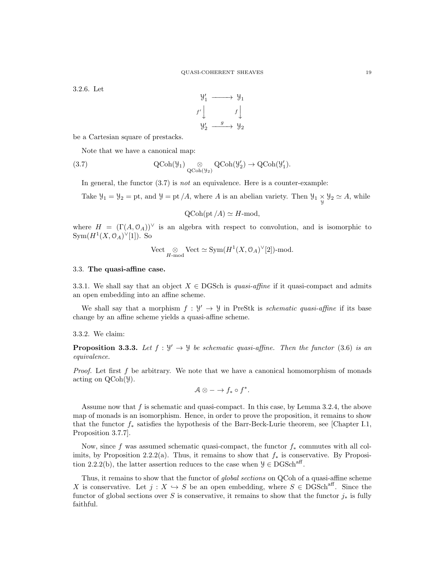3.2.6. Let



be a Cartesian square of prestacks.

Note that we have a canonical map:

(3.7) 
$$
\operatorname{QCoh}(\mathcal{Y}_1) \underset{\operatorname{QCoh}(\mathcal{Y}_2)}{\otimes} \operatorname{QCoh}(\mathcal{Y}'_2) \to \operatorname{QCoh}(\mathcal{Y}'_1).
$$

In general, the functor  $(3.7)$  is *not* an equivalence. Here is a counter-example:

Take  $\mathcal{Y}_1 = \mathcal{Y}_2 = \text{pt}$ , and  $\mathcal{Y} = \text{pt}/A$ , where A is an abelian variety. Then  $\mathcal{Y}_1 \times \mathcal{Y}_2 \simeq A$ , while

$$
Q\text{Coh}(\text{pt}/A) \simeq H\text{-mod},
$$

where  $H = (\Gamma(A, 0_A))^{\vee}$  is an algebra with respect to convolution, and is isomorphic to  $Sym(H^1(X,\mathcal{O}_A)^{\vee}[1])$ . So

$$
\mathrm{Vect}_{\underset{H\text{-}\mathrm{mod}}{\otimes}}\mathbb{V}\mathrm{ect}\simeq \mathrm{Sym}(H^1(X,\mathbb{O}_A)^\vee[2])\text{-mod}.
$$

#### 3.3. The quasi-affine case.

3.3.1. We shall say that an object  $X \in DGSch$  is *quasi-affine* if it quasi-compact and admits an open embedding into an affine scheme.

We shall say that a morphism  $f: \mathcal{Y}' \to \mathcal{Y}$  in PreStk is *schematic quasi-affine* if its base change by an affine scheme yields a quasi-affine scheme.

3.3.2. We claim:

**Proposition 3.3.3.** Let  $f : \mathcal{Y}' \to \mathcal{Y}$  be schematic quasi-affine. Then the functor (3.6) is an equivalence.

*Proof.* Let first  $f$  be arbitrary. We note that we have a canonical homomorphism of monads acting on QCoh(Y).

$$
\mathcal{A} \otimes - \to f_* \circ f^*.
$$

Assume now that f is schematic and quasi-compact. In this case, by Lemma 3.2.4, the above map of monads is an isomorphism. Hence, in order to prove the proposition, it remains to show that the functor  $f_*$  satisfies the hypothesis of the Barr-Beck-Lurie theorem, see [Chapter I.1, Proposition 3.7.7].

Now, since f was assumed schematic quasi-compact, the functor  $f_*$  commutes with all colimits, by Proposition 2.2.2(a). Thus, it remains to show that  $f_*$  is conservative. By Proposition 2.2.2(b), the latter assertion reduces to the case when  $\mathcal{Y} \in \text{DGSch}^{\text{aff}}$ .

Thus, it remains to show that the functor of *global sections* on QCoh of a quasi-affine scheme X is conservative. Let  $j : X \hookrightarrow S$  be an open embedding, where  $S \in DGSch<sup>aff</sup>$ . Since the functor of global sections over S is conservative, it remains to show that the functor  $j_*$  is fully faithful.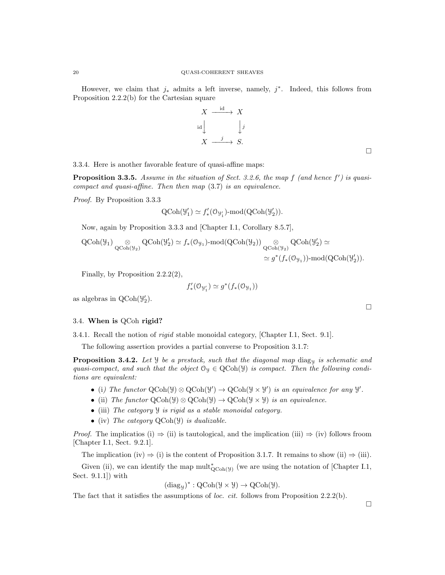However, we claim that  $j_*$  admits a left inverse, namely,  $j^*$ . Indeed, this follows from Proposition 2.2.2(b) for the Cartesian square

$$
X \xrightarrow{\text{id}} X
$$
\n
$$
\downarrow \downarrow
$$
\n
$$
X \xrightarrow{j} S.
$$

3.3.4. Here is another favorable feature of quasi-affine maps:

**Proposition 3.3.5.** Assume in the situation of Sect. 3.2.6, the map  $f$  (and hence  $f'$ ) is quasicompact and quasi-affine. Then then map (3.7) is an equivalence.

Proof. By Proposition 3.3.3

$$
\text{QCoh}(\mathcal{Y}'_1) \simeq f'_*(\mathcal{O}_{\mathcal{Y}'_1})\text{-}\mathrm{mod}(\text{QCoh}(\mathcal{Y}'_2)).
$$

Now, again by Proposition 3.3.3 and [Chapter I.1, Corollary 8.5.7],

$$
\begin{aligned}\label{eq:QCoh} \mathrm{QCoh}(\mathcal{Y}_1) \underset{\mathrm{QCoh}(\mathcal{Y}_2)}{\otimes} \mathrm{QCoh}(\mathcal{Y}'_2) &\simeq f_*(\mathcal{O}_{\mathcal{Y}_1})\text{-}\mathrm{mod}(\mathrm{QCoh}(\mathcal{Y}_2)) \underset{\mathrm{QCoh}(\mathcal{Y}_2)}{\otimes} \mathrm{QCoh}(\mathcal{Y}'_2) &\simeq\\ &\simeq g^*(f_*(\mathcal{O}_{\mathcal{Y}_1}))\text{-}\mathrm{mod}(\mathrm{QCoh}(\mathcal{Y}'_2)).\end{aligned}
$$

Finally, by Proposition 2.2.2(2),

$$
f'_*(\mathbf{0}_{\mathcal{Y}'_1}) \simeq g^*(f_*(\mathbf{0}_{\mathcal{Y}_1}))
$$

as algebras in  $QCoh(\mathcal{Y}_2)$ .

## 3.4. When is QCoh rigid?

3.4.1. Recall the notion of rigid stable monoidal category, [Chapter I.1, Sect. 9.1].

The following assertion provides a partial converse to Proposition 3.1.7:

**Proposition 3.4.2.** Let  $\mathcal{Y}$  be a prestack, such that the diagonal map diag<sub>N</sub> is schematic and quasi-compact, and such that the object  $\mathcal{O}_y \in \text{QCoh}(\mathcal{Y})$  is compact. Then the following conditions are equivalent:

- (i) The functor  $\text{QCoh}(\mathcal{Y}) \otimes \text{QCoh}(\mathcal{Y}') \to \text{QCoh}(\mathcal{Y} \times \mathcal{Y}')$  is an equivalence for any  $\mathcal{Y}'$ .
- (ii) The functor  $\text{QCoh}(\mathcal{Y}) \otimes \text{QCoh}(\mathcal{Y}) \to \text{QCoh}(\mathcal{Y} \times \mathcal{Y})$  is an equivalence.
- (iii) The category Y is rigid as a stable monoidal category.
- (iv) The category  $QCoh(\mathcal{Y})$  is dualizable.

*Proof.* The implicatios (i)  $\Rightarrow$  (ii) is tautological, and the implication (iii)  $\Rightarrow$  (iv) follows froom [Chapter I.1, Sect. 9.2.1].

The implication (iv)  $\Rightarrow$  (i) is the content of Proposition 3.1.7. It remains to show (ii)  $\Rightarrow$  (iii).

Given (ii), we can identify the map  $\text{mult}_{\text{QCoh}(\mathcal{Y})}^*$  (we are using the notation of [Chapter I.1, Sect. 9.1.1]) with

$$
(\mathrm{diag}_{\mathcal{Y}})^*:\mathrm{QCoh}(\mathcal{Y}\times\mathcal{Y})\to \mathrm{QCoh}(\mathcal{Y}).
$$

The fact that it satisfies the assumptions of *loc. cit.* follows from Proposition 2.2.2(b).

 $\Box$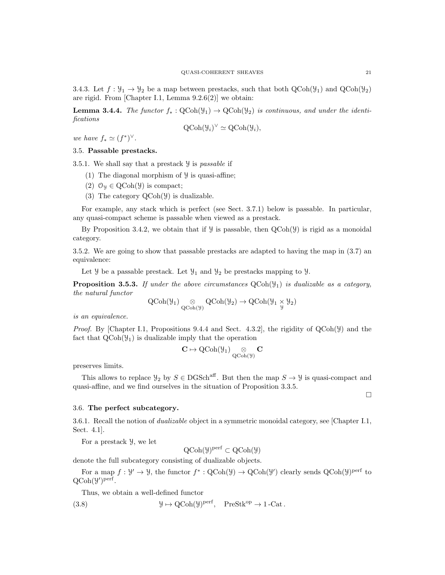3.4.3. Let  $f: \mathcal{Y}_1 \to \mathcal{Y}_2$  be a map between prestacks, such that both  $QCoh(\mathcal{Y}_1)$  and  $QCoh(\mathcal{Y}_2)$ are rigid. From [Chapter I.1, Lemma 9.2.6(2)] we obtain:

**Lemma 3.4.4.** The functor  $f_* : \text{QCoh}(\mathcal{Y}_1) \to \text{QCoh}(\mathcal{Y}_2)$  is continuous, and under the identifications

$$
\mathrm{QCoh}(\mathcal{Y}_i)^{\vee} \simeq \mathrm{QCoh}(\mathcal{Y}_i),
$$

we have  $f_* \simeq (f^*)^\vee$ .

## 3.5. Passable prestacks.

3.5.1. We shall say that a prestack  $\mathcal Y$  is passable if

- (1) The diagonal morphism of  $\mathcal{Y}$  is quasi-affine;
- (2)  $\mathcal{O}_y \in \text{QCoh}(\mathcal{Y})$  is compact;
- (3) The category  $QCoh(\mathcal{Y})$  is dualizable.

For example, any stack which is perfect (see Sect. 3.7.1) below is passable. In particular, any quasi-compact scheme is passable when viewed as a prestack.

By Proposition 3.4.2, we obtain that if  $\mathcal Y$  is passable, then  $QCoh(\mathcal Y)$  is rigid as a monoidal category.

3.5.2. We are going to show that passable prestacks are adapted to having the map in (3.7) an equivalence:

Let  $\mathcal{Y}$  be a passable prestack. Let  $\mathcal{Y}_1$  and  $\mathcal{Y}_2$  be prestacks mapping to  $\mathcal{Y}$ .

**Proposition 3.5.3.** If under the above circumstances  $QCoh(\mathcal{Y}_1)$  is dualizable as a category, the natural functor

$$
\operatorname{QCoh}(\mathcal{Y}_1) \underset{\operatorname{QCoh}(\mathcal{Y})}{\otimes} \operatorname{QCoh}(\mathcal{Y}_2) \to \operatorname{QCoh}(\mathcal{Y}_1 \underset{\mathcal{Y}}{\times} \mathcal{Y}_2)
$$

is an equivalence.

*Proof.* By [Chapter I.1, Propositions 9.4.4 and Sect. 4.3.2], the rigidity of  $QCoh(\mathcal{Y})$  and the fact that  $QCoh(\mathcal{Y}_1)$  is dualizable imply that the operation

$$
\mathbf{C}\mapsto \operatorname{QCoh}(\mathcal{Y}_1)\underset{\operatorname{QCoh}(\mathcal{Y})}{\otimes}\mathbf{C}
$$

preserves limits.

This allows to replace  $\mathcal{Y}_2$  by  $S \in \text{DGSch}^{\text{aff}}$ . But then the map  $S \to \mathcal{Y}$  is quasi-compact and quasi-affine, and we find ourselves in the situation of Proposition 3.3.5.

 $\Box$ 

# 3.6. The perfect subcategory.

3.6.1. Recall the notion of dualizable object in a symmetric monoidal category, see [Chapter I.1, Sect. 4.1].

For a prestack Y, we let

 $\mathrm{QCoh}(\mathcal{Y})^{\mathrm{perf}} \subset \mathrm{QCoh}(\mathcal{Y})$ 

denote the full subcategory consisting of dualizable objects.

For a map  $f: \mathcal{Y}' \to \mathcal{Y}$ , the functor  $f^*: \mathrm{QCoh}(\mathcal{Y}) \to \mathrm{QCoh}(\mathcal{Y}')$  clearly sends  $\mathrm{QCoh}(\mathcal{Y})^{\mathrm{perf}}$  to  $QCoh(\mathcal{Y}')^{perf}.$ 

Thus, we obtain a well-defined functor

(3.8) 
$$
\mathcal{Y} \mapsto \text{QCoh}(\mathcal{Y})^{\text{perf}}, \quad \text{PreStk}^{\text{op}} \to 1\text{-Cat}.
$$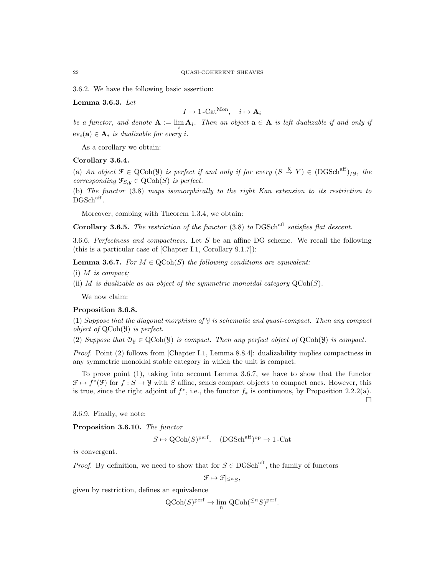3.6.2. We have the following basic assertion:

Lemma 3.6.3. Let

$$
I \to 1\text{-Cat}^{\text{Mon}}, \quad i \mapsto \mathbf{A}_i
$$

be a functor, and denote  $A := \lim_{i} A_i$ . Then an object  $a \in A$  is left dualizable if and only if  $ev_i(\mathbf{a}) \in \mathbf{A}_i$  is dualizable for every i.

As a corollary we obtain:

# Corollary 3.6.4.

(a) An object  $\mathcal{F} \in \text{QCoh}(\mathcal{Y})$  is perfect if and only if for every  $(S \stackrel{y}{\to} Y) \in (\text{DGSch}^{\text{aff}})_{/\mathcal{Y}}$ , the corresponding  $\mathfrak{F}_{S,y} \in \text{QCoh}(S)$  is perfect.

(b) The functor (3.8) maps isomorphically to the right Kan extension to its restriction to  $DGSch<sup>aff</sup>$ .

Moreover, combing with Theorem 1.3.4, we obtain:

Corollary 3.6.5. The restriction of the functor  $(3.8)$  to DGSch<sup>aff</sup> satisfies flat descent.

3.6.6. Perfectness and compactness. Let  $S$  be an affine DG scheme. We recall the following (this is a particular case of [Chapter I.1, Corollary 9.1.7]):

**Lemma 3.6.7.** For  $M \in \text{QCoh}(S)$  the following conditions are equivalent:

 $(i)$  *M* is compact;

(ii) M is dualizable as an object of the symmetric monoidal category  $\mathrm{QCoh}(S)$ .

We now claim:

# Proposition 3.6.8.

(1) Suppose that the diagonal morphism of  $\mathcal{Y}$  is schematic and quasi-compact. Then any compact object of QCoh(Y) is perfect.

(2) Suppose that  $\mathcal{O}_y \in \text{QCoh}(\mathcal{Y})$  is compact. Then any perfect object of  $\text{QCoh}(\mathcal{Y})$  is compact.

Proof. Point (2) follows from [Chapter I.1, Lemma 8.8.4]: dualizability implies compactness in any symmetric monoidal stable category in which the unit is compact.

To prove point (1), taking into account Lemma 3.6.7, we have to show that the functor  $\mathcal{F} \mapsto f^*(\mathcal{F})$  for  $f : S \to \mathcal{Y}$  with S affine, sends compact objects to compact ones. However, this is true, since the right adjoint of  $f^*$ , i.e., the functor  $f_*$  is continuous, by Proposition 2.2.2(a).

 $\Box$ 

3.6.9. Finally, we note:

Proposition 3.6.10. The functor

$$
S \mapsto \text{QCoh}(S)^{\text{perf}}, \quad (\text{DGSch}^{\text{aff}})^{\text{op}} \to 1\text{-Cat}
$$

is convergent.

*Proof.* By definition, we need to show that for  $S \in DGSch<sup>aff</sup>$ , the family of functors

$$
\mathcal{F}\mapsto \mathcal{F}|_{\leq^nS},
$$

given by restriction, defines an equivalence

$$
Q\text{Coh}(S)^{\text{perf}} \to \lim_{n} Q\text{Coh}({}^{\leq n}S)^{\text{perf}}.
$$